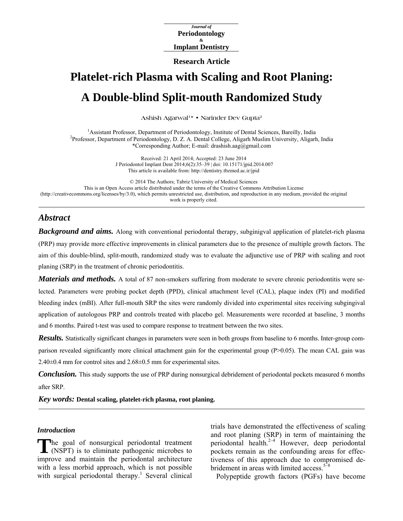*Journal of*  **Periodontology Implant Dentistry &** 

**Research Article** 

# **Platelet-rich Plasma with Scaling and Root Planing: A Double-blind Split-mouth Randomized Study**

Ashish Agarwal<sup>1\*</sup> • Narinder Dev Gupta<sup>2</sup>

<sup>1</sup> Assistant Professor, Department of Periodontology, Institute of Dental Sciences, Bareilly, India<br><sup>2</sup> Professor, Department of Beriodontology, D. Z. A. Dental Collage, Alizerb Muslim University, Aligerb Professor, Department of Periodontology, D. Z. A. Dental College, Aligarh Muslim University, Aligarh, India \*Corresponding Author; E-mail: drashish.aag@gmail.com

> Received: 21 April 2014; Accepted: 23 June 2014 J Periodontol Implant Dent 2014;6(2):35–39 | [doi: 10.15171/jpid.2014.007](http://dx.doi.org/10.15171/jpid.2014.007)  This article is available from: <http://dentistry.tbzmed.ac.ir/jpid>

© 2014 The Authors; Tabriz University of Medical Sciences This is an Open Access article distributed under the terms of the Creative Commons Attribution License [\(http://creativecommons.org/licenses/by/3.0](http://creativecommons.org/licenses/by/3.0)), which permits unrestricted use, distribution, and reproduction in any medium, provided the original work is properly cited.

## *Abstract*

*Background and aims.* Along with conventional periodontal therapy, subginigval application of platelet-rich plasma (PRP) may provide more effective improvements in clinical parameters due to the presence of multiple growth factors. The aim of this double-blind, split-mouth, randomized study was to evaluate the adjunctive use of PRP with scaling and root planing (SRP) in the treatment of chronic periodontitis.

*Materials and methods.* A total of 87 non-smokers suffering from moderate to severe chronic periodontitis were selected. Parameters were probing pocket depth (PPD), clinical attachment level (CAL), plaque index (PI) and modified bleeding index (mBI). After full-mouth SRP the sites were randomly divided into experimental sites receiving subgingival application of autologous PRP and controls treated with placebo gel. Measurements were recorded at baseline, 3 months and 6 months. Paired t-test was used to compare response to treatment between the two sites.

*Results.* Statistically significant changes in parameters were seen in both groups from baseline to 6 months. Inter-group comparison revealed significantly more clinical attachment gain for the experimental group (P>0.05). The mean CAL gain was 2.40±0.4 mm for control sites and 2.68±0.5 mm for experimental sites.

*Conclusion.* This study supports the use of PRP during nonsurgical debridement of periodontal pockets measured 6 months after SRP.

*Key words:* **Dental scaling, platelet-rich plasma, root planing.** 

#### *Introduction*

The goal of nonsurgical periodontal treatment<br>
(NSPT) is to eliminate pathogenic microbes to (NSPT) is to eliminate pathogenic microbes to improve and maintain the periodontal architecture with a less morbid approach, which is not possible with surgical periodontal therapy.<sup>1</sup> Several clinical trials have demonstrated the effectiveness of scaling and root planing (SRP) in term of maintaining the periodontal health.<sup>2-4</sup> However, deep periodontal pockets remain as the confounding areas for effectiveness of this approach due to compromised debridement in areas with limited access.<sup>5–8</sup>

Polypeptide growth factors (PGFs) have become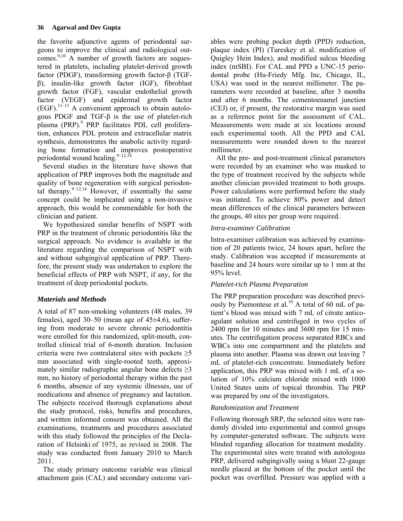the favorite adjunctive agents of periodontal surgeons to improve the clinical and radiological outcomes. $9,10$  A number of growth factors are sequestered in platelets, including platelet-derived growth factor (PDGF), transforming growth factor-β (TGFβ), insulin-like growth factor (IGF), fibroblast growth factor (FGF), vascular endothelial growth factor (VEGF) and epidermal growth factor  $(EGF).$ <sup>11–13</sup> A convenient approach to obtain autologous PDGF and TGF-β is the use of platelet-rich plasma (PRP).<sup>9</sup> PRP facilitates PDL cell proliferation, enhances PDL protein and extracellular matrix synthesis, demonstrates the anabolic activity regarding bone formation and improves postoperative periodontal wound healing. $9-12,14$ 

Several studies in the literature have shown that application of PRP improves both the magnitude and quality of bone regeneration with surgical periodontal therapy.  $9-12,14$  However, if essentially the same concept could be implicated using a non-invasive approach, this would be commendable for both the clinician and patient.

We hypothesized similar benefits of NSPT with PRP in the treatment of chronic periodontitis like the surgical approach. No evidence is available in the literature regarding the comparison of NSPT with and without subgingival application of PRP. Therefore, the present study was undertaken to explore the beneficial effects of PRP with NSPT, if any, for the treatment of deep periodontal pockets.

## *Materials and Methods*

A total of 87 non-smoking volunteers (48 males, 39 females), aged 30–50 (mean age of  $45\pm4.6$ ), suffering from moderate to severe chronic periodontitis were enrolled for this randomized, split-mouth, controlled clinical trial of 6-month duration. Inclusion criteria were two contralateral sites with pockets  $\geq$ 5 mm associated with single-rooted teeth, approximately similar radiographic angular bone defects  $\geq 3$ mm, no history of periodontal therapy within the past 6 months, absence of any systemic illnesses, use of medications and absence of pregnancy and lactation. The subjects received thorough explanations about the study protocol, risks, benefits and procedures, and written informed consent was obtained. All the examinations, treatments and procedures associated with this study followed the principles of the Declaration of Helsinki of 1975, as revised in 2008. The study was conducted from January 2010 to March 2011.

The study primary outcome variable was clinical attachment gain (CAL) and secondary outcome vari-

ables were probing pocket depth (PPD) reduction, plaque index (PI) (Tureskey et al. modification of Quigley Hein Index), and modified sulcus bleeding index (mSBI). For CAL and PPD a UNC-15 periodontal probe (Hu-Friedy Mfg. Inc, Chicago, IL, USA) was used in the nearest millimeter. The parameters were recorded at baseline, after 3 months and after 6 months. The cementoenamel junction (CEJ) or, if present, the restorative margin was used as a reference point for the assessment of CAL. Measurements were made at six locations around each experimental tooth. All the PPD and CAL measurements were rounded down to the nearest millimeter.

All the pre- and post-treatment clinical parameters were recorded by an examiner who was masked to the type of treatment received by the subjects while another clinician provided treatment to both groups. Power calculations were performed before the study was initiated. To achieve 80% power and detect mean differences of the clinical parameters between the groups, 40 sites per group were required.

#### *Intra-examiner Calibration*

Intra-examiner calibration was achieved by examination of 20 patients twice, 24 hours apart, before the study. Calibration was accepted if measurements at baseline and 24 hours were similar up to 1 mm at the 95% level.

## *Platelet-rich Plasma Preparation*

The PRP preparation procedure was described previously by Piemontese et al.<sup>10</sup> A total of 60 mL of patient's blood was mixed with 7 mL of citrate anticoagulant solution and centrifuged in two cycles of 2400 rpm for 10 minutes and 3600 rpm for 15 minutes. The centrifugation process separated RBCs and WBCs into one compartment and the platelets and plasma into another. Plasma was drawn out leaving 7 mL of platelet-rich concentrate. Immediately before application, this PRP was mixed with 1 mL of a solution of 10% calcium chloride mixed with 1000 United States units of topical thrombin. The PRP was prepared by one of the investigators.

## *Randomization and Treatment*

Following thorough SRP, the selected sites were randomly divided into experimental and control groups by computer-generated software. The subjects were blinded regarding allocation for treatment modality. The experimental sites were treated with autologous PRP, delivered subgingivally using a blunt 22-gauge needle placed at the bottom of the pocket until the pocket was overfilled. Pressure was applied with a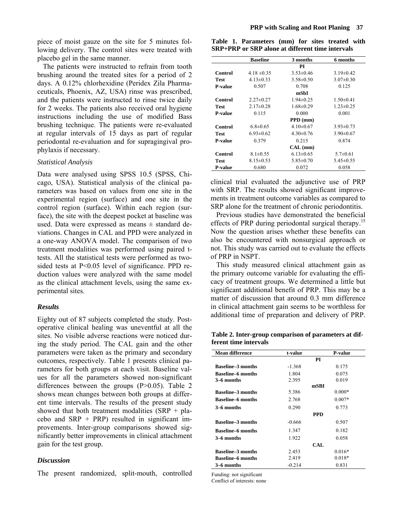piece of moist gauze on the site for 5 minutes following delivery. The control sites were treated with placebo gel in the same manner.

The patients were instructed to refrain from tooth brushing around the treated sites for a period of 2 days. A 0.12% chlorhexidine (Peridex Zila Pharmaceuticals, Phoenix, AZ, USA) rinse was prescribed, and the patients were instructed to rinse twice daily for 2 weeks. The patients also received oral hygiene instructions including the use of modified Bass brushing technique. The patients were re-evaluated at regular intervals of 15 days as part of regular periodontal re-evaluation and for supragingival prophylaxis if necessary.

#### *Statistical Analysis*

Data were analysed using SPSS 10.5 (SPSS, Chicago, USA). Statistical analysis of the clinical parameters was based on values from one site in the experimental region (surface) and one site in the control region (surface). Within each region (surface), the site with the deepest pocket at baseline was used. Data were expressed as means  $\pm$  standard deviations. Changes in CAL and PPD were analyzed in a one-way ANOVA model. The comparison of two treatment modalities was performed using paired ttests. All the statistical tests were performed as twosided tests at P<0.05 level of significance. PPD reduction values were analyzed with the same model as the clinical attachment levels, using the same experimental sites.

#### *Results*

Eighty out of 87 subjects completed the study. Postoperative clinical healing was uneventful at all the sites. No visible adverse reactions were noticed during the study period. The CAL gain and the other parameters were taken as the primary and secondary outcomes, respectively. Table 1 presents clinical parameters for both groups at each visit. Baseline values for all the parameters showed non-significant differences between the groups  $(P>0.05)$ . Table 2 shows mean changes between both groups at different time intervals. The results of the present study showed that both treatment modalities  $(SRP + pla$ cebo and  $SRP + PRP$ ) resulted in significant improvements. Inter-group comparisons showed significantly better improvements in clinical attachment gain for the test group.

#### *Discussion*

The present randomized, split-mouth, controlled

**Table 1. Parameters (mm) for sites treated with SRP+PRP or SRP alone at different time intervals** 

|                | <b>Baseline</b> | 3 months        | 6 months        |
|----------------|-----------------|-----------------|-----------------|
|                |                 | PI              |                 |
| Control        | $4.18 \pm 0.35$ | $3.53\pm0.46$   | $3.19\pm0.42$   |
| <b>Test</b>    | $4.13 \pm 0.33$ | $3.58 \pm 0.50$ | $3.07\pm0.30$   |
| <b>P-value</b> | 0.507           | 0.708           | 0.125           |
|                |                 | mSbI            |                 |
| Control        | $2.27 \pm 0.27$ | $1.94 \pm 0.25$ | $1.50 \pm 0.41$ |
| Test           | $2.17\pm0.28$   | $1.68 \pm 0.29$ | $1.23 \pm 0.25$ |
| P-value        | 0.115           | 0.000           | 0.001           |
|                |                 | PPD (mm)        |                 |
| Control        | $6.8 \pm 0.65$  | $4.10\pm0.67$   | $3.93 \pm 0.73$ |
| Test           | $6.93 \pm 0.62$ | $4.30\pm0.76$   | $3.90\pm0.67$   |
| <b>P-value</b> | 0.379           | 0.215           | 0.874           |
|                |                 | CAL (mm)        |                 |
| Control        | $8.1 \pm 0.55$  | $6.13 \pm 0.65$ | $5.7 \pm 0.61$  |
| <b>Test</b>    | $8.15 \pm 0.53$ | $5.85 \pm 0.70$ | $5.45 \pm 0.55$ |
| <b>P-value</b> | 0.680           | 0.072           | 0.058           |

clinical trial evaluated the adjunctive use of PRP with SRP. The results showed significant improvements in treatment outcome variables as compared to SRP alone for the treatment of chronic periodontitis.

Previous studies have demonstrated the beneficial effects of PRP during periodontal surgical therapy.<sup>15</sup> Now the question arises whether these benefits can also be encountered with nonsurgical approach or not. This study was carried out to evaluate the effects of PRP in NSPT.

This study measured clinical attachment gain as the primary outcome variable for evaluating the efficacy of treatment groups. We determined a little but significant additional benefit of PRP. This may be a matter of discussion that around 0.3 mm difference in clinical attachment gain seems to be worthless for additional time of preparation and delivery of PRP.

**Table 2. Inter-group comparison of parameters at different time intervals** 

| <b>Mean difference</b>   | t-value    | <b>P-value</b> |
|--------------------------|------------|----------------|
|                          | PI         |                |
| <b>Baseline–3 months</b> | $-1.368$   | 0.175          |
| <b>Baseline-6 months</b> | 1.804      | 0.075          |
| 3–6 months               | 2.395      | 0.019          |
|                          |            | mSBI           |
| <b>Baseline-3 months</b> | 5.386      | $0.000*$       |
| <b>Baseline–6 months</b> | 2.768      | $0.007*$       |
| 3–6 months               | 0.290      | 0.773          |
|                          | <b>PPD</b> |                |
| <b>Baseline-3 months</b> | $-0.666$   | 0.507          |
| <b>Baseline–6 months</b> | 1.347      | 0.182          |
| 3–6 months               | 1.922      | 0.058          |
|                          |            | CAL            |
| <b>Baseline-3 months</b> | 2.453      | $0.016*$       |
| <b>Baseline–6 months</b> | 2.419      | $0.018*$       |
| 3–6 months               | $-0.214$   | 0.831          |

Funding: not significant

Conflict of interests: none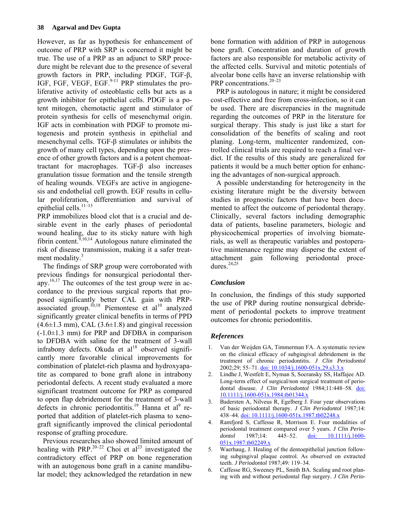However, as far as hypothesis for enhancement of outcome of PRP with SRP is concerned it might be true. The use of a PRP as an adjunct to SRP procedure might be relevant due to the presence of several growth factors in PRP, including PDGF, TGF-β, IGF, FGF, VEGF, EGF. $9-11$  PRP stimulates the proliferative activity of osteoblastic cells but acts as a growth inhibitor for epithelial cells. PDGF is a potent mitogen, chemotactic agent and stimulator of protein synthesis for cells of mesenchymal origin. IGF acts in combination with PDGF to promote mitogenesis and protein synthesis in epithelial and mesenchymal cells. TGF-β stimulates or inhibits the growth of many cell types, depending upon the presence of other growth factors and is a potent chemoattractant for macrophages. TGF-β also increases granulation tissue formation and the tensile strength of healing wounds. VEGFs are active in angiogenesis and endothelial cell growth. EGF results in cellular proliferation, differentiation and survival of epithelial cells.<sup>11-13</sup>

PRP immobilizes blood clot that is a crucial and desirable event in the early phases of periodontal wound healing, due to its sticky nature with high fibrin content.<sup> $9,10,14$ </sup> Autologous nature eliminated the risk of disease transmission, making it a safer treatment modality.<sup>3</sup>

The findings of SRP group were corroborated with previous findings for nonsurgical periodontal therapy.16,17 The outcomes of the test group were in accordance to the previous surgical reports that proposed significantly better CAL gain with PRPassociated group.<sup>10,18</sup> Piemontese et al<sup>10</sup> analyzed significantly greater clinical benefits in terms of PPD  $(4.6\pm1.3$  mm), CAL  $(3.6\pm1.8)$  and gingival recession  $(-1.0 \pm 1.3 \text{ mm})$  for PRP and DFDBA in comparison to DFDBA with saline for the treatment of 3-wall infrabony defects. Okuda et  $al^{18}$  observed significantly more favorable clinical improvements for combination of platelet-rich plasma and hydroxyapatite as compared to bone graft alone in intrabony periodontal defects. A recent study evaluated a more significant treatment outcome for PRP as compared to open flap debridement for the treatment of 3-wall defects in chronic periodontitis.<sup>19</sup> Hanna et al<sup>9</sup> reported that addition of platelet-rich plasma to xenograft significantly improved the clinical periodontal response of grafting procedure.

Previous researches also showed limited amount of healing with PRP.<sup>20–22</sup> Choi et al<sup>23</sup> investigated the contradictory effect of PRP on bone regeneration with an autogenous bone graft in a canine mandibular model; they acknowledged the retardation in new

bone formation with addition of PRP in autogenous bone graft. Concentration and duration of growth factors are also responsible for metabolic activity of the affected cells. Survival and mitotic potentials of alveolar bone cells have an inverse relationship with PRP concentrations.<sup>20–23</sup>

PRP is autologous in nature; it might be considered cost-effective and free from cross-infection, so it can be used. There are discrepancies in the magnitude regarding the outcomes of PRP in the literature for surgical therapy. This study is just like a start for consolidation of the benefits of scaling and root planing. Long-term, multicenter randomized, controlled clinical trials are required to reach a final verdict. If the results of this study are generalized for patients it would be a much better option for enhancing the advantages of non-surgical approach.

A possible understanding for heterogeneity in the existing literature might be the diversity between studies in prognostic factors that have been documented to affect the outcome of periodontal therapy. Clinically, several factors including demographic data of patients, baseline parameters, biologic and physicochemical properties of involving biomaterials, as well as therapeutic variables and postoperative maintenance regime may disperse the extent of attachment gain following periodontal procedures $24,25$ 

## *Conclusion*

In conclusion, the findings of this study supported the use of PRP during routine nonsurgical debridement of periodontal pockets to improve treatment outcomes for chronic periodontitis.

## *References*

- 1. Van der Weijden GA, Timmerman FA. A systematic review on the clinical efficacy of subgingival debridement in the treatment of chronic periodontitis. *J Clin Periodontol* 2002;29; 55–71. [doi: 10.1034/j.1600-051x.29.s3.3.x](http://dx.doi.org/10.1034/j.1600-051x.29.s3.3.x)
- 2. Lindhe J, Westfelt E, Nyman S, Socransky SS, Haffajee AD. Long-term effect of surgical/non surgical treatment of periodontal disease. *J Clin Periodontol* 1984;11:448–58. [doi:](http://dx.doi.org/10.1111/j.1600-051x.1984.tb01344.x)  [10.1111/j.1600-051x.1984.tb01344.x](http://dx.doi.org/10.1111/j.1600-051x.1984.tb01344.x)
- 3. Badersten A, Nilveus R, Egelberg J. Four year observations of basic periodontal therapy. *J Clin Periodontol* 1987;14: 438–44. [doi: 10.1111/j.1600-051x.1987.tb02248.x](http://dx.doi.org/10.1111/j.1600-051x.1987.tb02248.x)
- 4. Ramfjord S, Caffesse R, Morrison E. Four modalities of periodontal treatment compared over 5 years. *J Clin Periodontol* 1987;14: 445–52. [doi: 10.1111/j.1600-](http://dx.doi.org/10.1111/j.1600-051x.1987.tb02249.x) [051x.1987.tb02249.x](http://dx.doi.org/10.1111/j.1600-051x.1987.tb02249.x)
- 5. Waerhaug, J. Healing of the dentoepithelial junction following subgingival plaque control. As observed on extracted teeth. *J Periodontol* 1987;49: 119–34.
- 6. Caffesse RG, Sweeney PL, Smith BA. Scaling and root planing with and without periodontal flap surgery. *J Clin Perio-*